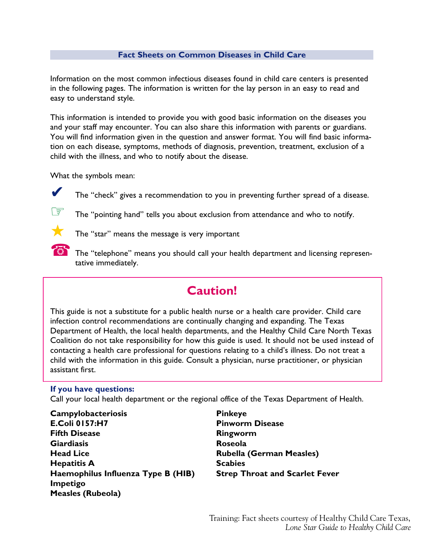### **Fact Sheets on Common Diseases in Child Care**

Information on the most common infectious diseases found in child care centers is presented in the following pages. The information is written for the lay person in an easy to read and easy to understand style.

This information is intended to provide you with good basic information on the diseases you and your staff may encounter. You can also share this information with parents or guardians. You will find information given in the question and answer format. You will find basic information on each disease, symptoms, methods of diagnosis, prevention, treatment, exclusion of a child with the illness, and who to notify about the disease.

What the symbols mean:



The "check" gives a recommendation to you in preventing further spread of a disease.



 $\circledast$  The "pointing hand" tells you about exclusion from attendance and who to notify.



 $\blacktriangleright$  The "star" means the message is very important

The "telephone" means you should call your health department and licensing representative immediately.

# **Caution!**

This guide is not a substitute for a public health nurse or a health care provider. Child care infection control recommendations are continually changing and expanding. The Texas Department of Health, the local health departments, and the Healthy Child Care North Texas Coalition do not take responsibility for how this guide is used. It should not be used instead of contacting a health care professional for questions relating to a child's illness. Do not treat a child with the information in this guide. Consult a physician, nurse practitioner, or physician assistant first.

#### **If you have questions:**

Call your local health department or the regional office of the Texas Department of Health.

**Campylobacteriosis E.Coli 0157:H7 Fifth Disease Giardiasis Head Lice Hepatitis A Haemophilus Influenza Type B (HIB) Impetigo Measles (Rubeola)**

**Pinkeye Pinworm Disease Ringworm Roseola Rubella (German Measles) Scabies Strep Throat and Scarlet Fever**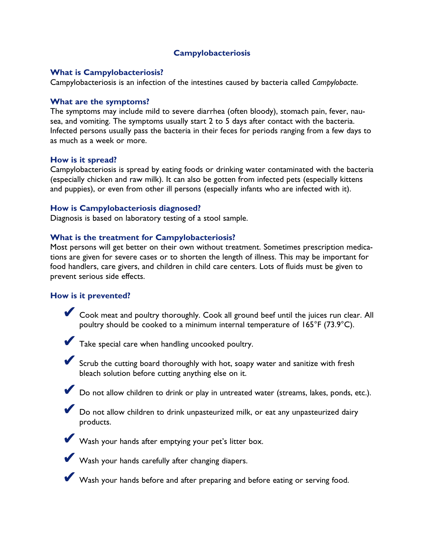# **Campylobacteriosis**

#### **What is Campylobacteriosis?**

Campylobacteriosis is an infection of the intestines caused by bacteria called *Campylobacte*.

#### **What are the symptoms?**

The symptoms may include mild to severe diarrhea (often bloody), stomach pain, fever, nausea, and vomiting. The symptoms usually start 2 to 5 days after contact with the bacteria. Infected persons usually pass the bacteria in their feces for periods ranging from a few days to as much as a week or more.

#### **How is it spread?**

Campylobacteriosis is spread by eating foods or drinking water contaminated with the bacteria (especially chicken and raw milk). It can also be gotten from infected pets (especially kittens and puppies), or even from other ill persons (especially infants who are infected with it).

#### **How is Campylobacteriosis diagnosed?**

Diagnosis is based on laboratory testing of a stool sample.

#### **What is the treatment for Campylobacteriosis?**

Most persons will get better on their own without treatment. Sometimes prescription medications are given for severe cases or to shorten the length of illness. This may be important for food handlers, care givers, and children in child care centers. Lots of fluids must be given to prevent serious side effects.

### **How is it prevented?**

✔ Cook meat and poultry thoroughly. Cook all ground beef until the juices run clear. All poultry should be cooked to a minimum internal temperature of 165°F (73.9°C).



✔ Take special care when handling uncooked poultry.

✔ Scrub the cutting board thoroughly with hot, soapy water and sanitize with fresh bleach solution before cutting anything else on it.

✔ Do not allow children to drink or play in untreated water (streams, lakes, ponds, etc.).

✔ Do not allow children to drink unpasteurized milk, or eat any unpasteurized dairy products.

Wash your hands after emptying your pet's litter box.



Wash your hands carefully after changing diapers.

Wash your hands before and after preparing and before eating or serving food.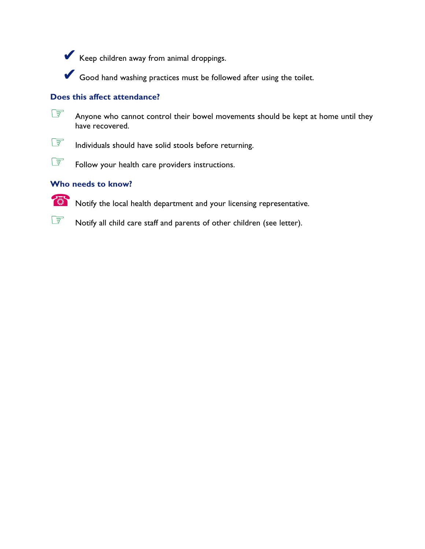✔ Keep children away from animal droppings.

✔ Good hand washing practices must be followed after using the toilet.

# **Does this affect attendance?**



Anyone who cannot control their bowel movements should be kept at home until they have recovered.



Individuals should have solid stools before returning.

Follow your health care providers instructions.

# **Who needs to know?**



☎ Notify the local health department and your licensing representative.

Notify all child care staff and parents of other children (see letter).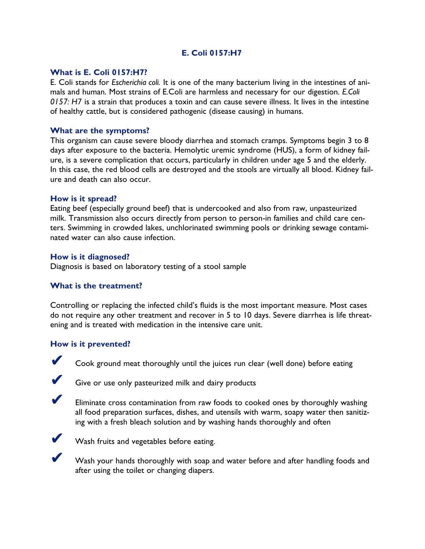# **E. Coli 0157:H7**

### **What is E. Coli 0157:H7?**

E. Coli stands for *Escherichia coli.* It is one of the many bacterium living in the intestines of animals and human. Most strains of E.Coli are harmless and necessary for our digestion. *E.Coli 0157: H7* is a strain that produces a toxin and can cause severe illness. It lives in the intestine of healthy cattle, but is considered pathogenic (disease causing) in humans.

### **What are the symptoms?**

This organism can cause severe bloody diarrhea and stomach cramps. Symptoms begin 3 to 8 days after exposure to the bacteria. Hemolytic uremic syndrome (HUS), a form of kidney failure, is a severe complication that occurs, particularly in children under age 5 and the elderly. In this case, the red blood cells are destroyed and the stools are virtually all blood. Kidney failure and death can also occur.

### **How is it spread?**

Eating beef (especially ground beef) that is undercooked and also from raw, unpasteurized milk. Transmission also occurs directly from person to person-in families and child care centers. Swimming in crowded lakes, unchlorinated swimming pools or drinking sewage contaminated water can also cause infection.

# **How is it diagnosed?**

Diagnosis is based on laboratory testing of a stool sample

# **What is the treatment?**

Controlling or replacing the infected child's fluids is the most important measure. Most cases do not require any other treatment and recover in 5 to 10 days. Severe diarrhea is life threatening and is treated with medication in the intensive care unit.

# **How is it prevented?**



Cook ground meat thoroughly until the juices run clear (well done) before eating



Give or use only pasteurized milk and dairy products



Eliminate cross contamination from raw foods to cooked ones by thoroughly washing all food preparation surfaces, dishes, and utensils with warm, soapy water then sanitizing with a fresh bleach solution and by washing hands thoroughly and often



Wash fruits and vegetables before eating.

Wash your hands thoroughly with soap and water before and after handling foods and after using the toilet or changing diapers.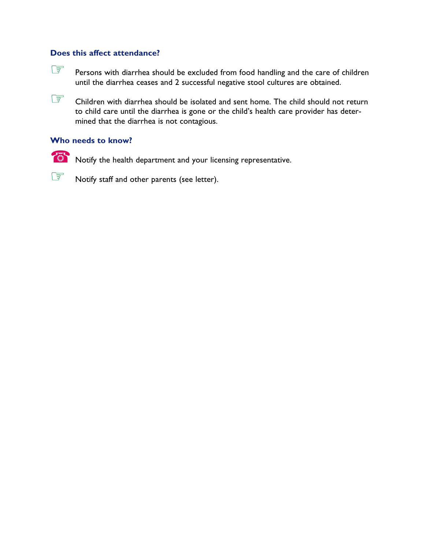Fersons with diarrhea should be excluded from food handling and the care of children until the diarrhea ceases and 2 successful negative stool cultures are obtained.

Children with diarrhea should be isolated and sent home. The child should not return to child care until the diarrhea is gone or the child's health care provider has determined that the diarrhea is not contagious.

# **Who needs to know?**

☎ Notify the health department and your licensing representative.

Notify staff and other parents (see letter).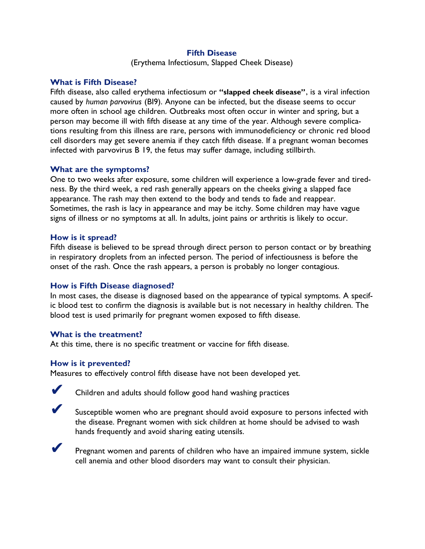#### **Fifth Disease**

(Erythema Infectiosum, Slapped Cheek Disease)

### **What is Fifth Disease?**

Fifth disease, also called erythema infectiosum or **"slapped cheek disease"**, is a viral infection caused by *human parvovirus* (BI9). Anyone can be infected, but the disease seems to occur more often in school age children. Outbreaks most often occur in winter and spring, but a person may become ill with fifth disease at any time of the year. Although severe complications resulting from this illness are rare, persons with immunodeficiency or chronic red blood cell disorders may get severe anemia if they catch fifth disease. If a pregnant woman becomes infected with parvovirus B 19, the fetus may suffer damage, including stillbirth.

### **What are the symptoms?**

One to two weeks after exposure, some children will experience a low-grade fever and tiredness. By the third week, a red rash generally appears on the cheeks giving a slapped face appearance. The rash may then extend to the body and tends to fade and reappear. Sometimes, the rash is lacy in appearance and may be itchy. Some children may have vague signs of illness or no symptoms at all. In adults, joint pains or arthritis is likely to occur.

#### **How is it spread?**

Fifth disease is believed to be spread through direct person to person contact or by breathing in respiratory droplets from an infected person. The period of infectiousness is before the onset of the rash. Once the rash appears, a person is probably no longer contagious.

### **How is Fifth Disease diagnosed?**

In most cases, the disease is diagnosed based on the appearance of typical symptoms. A specific blood test to confirm the diagnosis is available but is not necessary in healthy children. The blood test is used primarily for pregnant women exposed to fifth disease.

#### **What is the treatment?**

At this time, there is no specific treatment or vaccine for fifth disease.

#### **How is it prevented?**

Measures to effectively control fifth disease have not been developed yet.



Children and adults should follow good hand washing practices



Susceptible women who are pregnant should avoid exposure to persons infected with the disease. Pregnant women with sick children at home should be advised to wash hands frequently and avoid sharing eating utensils.



Pregnant women and parents of children who have an impaired immune system, sickle cell anemia and other blood disorders may want to consult their physician.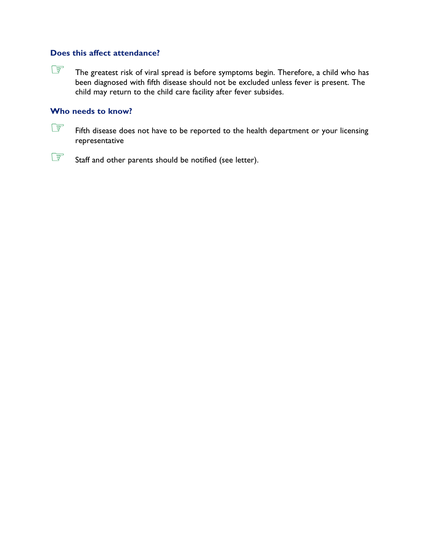The greatest risk of viral spread is before symptoms begin. Therefore, a child who has been diagnosed with fifth disease should not be excluded unless fever is present. The child may return to the child care facility after fever subsides.

## **Who needs to know?**



Staff and other parents should be notified (see letter).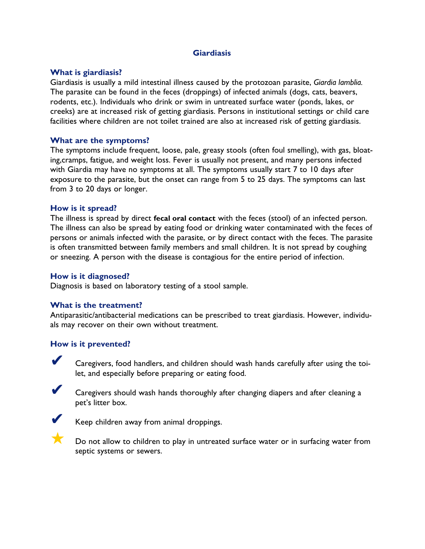# **Giardiasis**

### **What is giardiasis?**

Giardiasis is usually a mild intestinal illness caused by the protozoan parasite, *Giardia lamblia.* The parasite can be found in the feces (droppings) of infected animals (dogs, cats, beavers, rodents, etc.). Individuals who drink or swim in untreated surface water (ponds, lakes, or creeks) are at increased risk of getting giardiasis. Persons in institutional settings or child care facilities where children are not toilet trained are also at increased risk of getting giardiasis.

### **What are the symptoms?**

The symptoms include frequent, loose, pale, greasy stools (often foul smelling), with gas, bloating,cramps, fatigue, and weight loss. Fever is usually not present, and many persons infected with Giardia may have no symptoms at all. The symptoms usually start 7 to 10 days after exposure to the parasite, but the onset can range from 5 to 25 days. The symptoms can last from 3 to 20 days or longer.

### **How is it spread?**

The illness is spread by direct **fecal oral contact** with the feces (stool) of an infected person. The illness can also be spread by eating food or drinking water contaminated with the feces of persons or animals infected with the parasite, or by direct contact with the feces. The parasite is often transmitted between family members and small children. It is not spread by coughing or sneezing. A person with the disease is contagious for the entire period of infection.

### **How is it diagnosed?**

Diagnosis is based on laboratory testing of a stool sample.

### **What is the treatment?**

Antiparasitic/antibacterial medications can be prescribed to treat giardiasis. However, individuals may recover on their own without treatment.

### **How is it prevented?**

Caregivers, food handlers, and children should wash hands carefully after using the toilet, and especially before preparing or eating food.



Caregivers should wash hands thoroughly after changing diapers and after cleaning a pet's litter box.



Keep children away from animal droppings.



Do not allow to children to play in untreated surface water or in surfacing water from septic systems or sewers.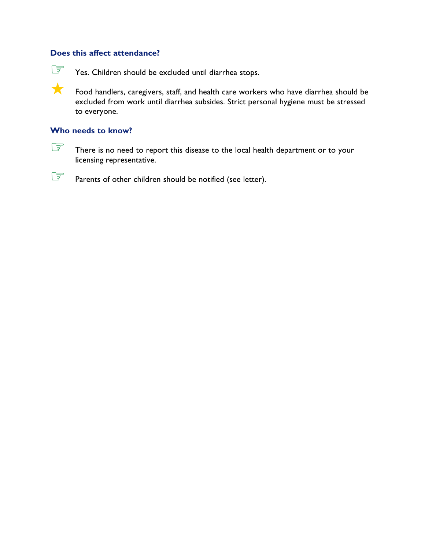The Yes. Children should be excluded until diarrhea stops.

**A** Food handlers, caregivers, staff, and health care workers who have diarrhea should be excluded from work until diarrhea subsides. Strict personal hygiene must be stressed to everyone.

### **Who needs to know?**

There is no need to report this disease to the local health department or to your licensing representative.

**EF** Parents of other children should be notified (see letter).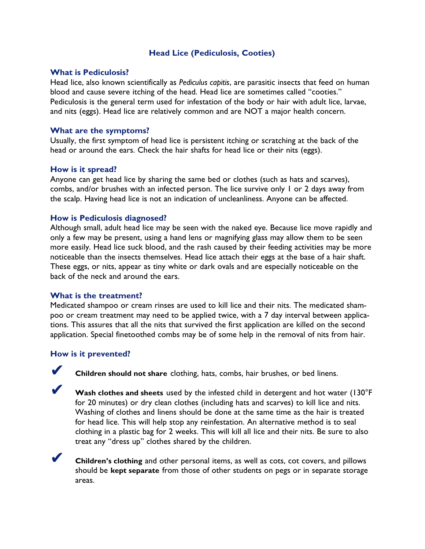# **Head Lice (Pediculosis, Cooties)**

#### **What is Pediculosis?**

Head lice, also known scientifically as *Pediculus capitis*, are parasitic insects that feed on human blood and cause severe itching of the head. Head lice are sometimes called "cooties." Pediculosis is the general term used for infestation of the body or hair with adult lice, larvae, and nits (eggs). Head lice are relatively common and are NOT a major health concern.

#### **What are the symptoms?**

Usually, the first symptom of head lice is persistent itching or scratching at the back of the head or around the ears. Check the hair shafts for head lice or their nits (eggs).

#### **How is it spread?**

Anyone can get head lice by sharing the same bed or clothes (such as hats and scarves), combs, and/or brushes with an infected person. The lice survive only 1 or 2 days away from the scalp. Having head lice is not an indication of uncleanliness. Anyone can be affected.

#### **How is Pediculosis diagnosed?**

Although small, adult head lice may be seen with the naked eye. Because lice move rapidly and only a few may be present, using a hand lens or magnifying glass may allow them to be seen more easily. Head lice suck blood, and the rash caused by their feeding activities may be more noticeable than the insects themselves. Head lice attach their eggs at the base of a hair shaft. These eggs, or nits, appear as tiny white or dark ovals and are especially noticeable on the back of the neck and around the ears.

#### **What is the treatment?**

Medicated shampoo or cream rinses are used to kill lice and their nits. The medicated shampoo or cream treatment may need to be applied twice, with a 7 day interval between applications. This assures that all the nits that survived the first application are killed on the second application. Special finetoothed combs may be of some help in the removal of nits from hair.

#### **How is it prevented?**



✔ **Children should not share** clothing, hats, combs, hair brushes, or bed linens.

Wash clothes and sheets used by the infested child in detergent and hot water (130°F for 20 minutes) or dry clean clothes (including hats and scarves) to kill lice and nits. Washing of clothes and linens should be done at the same time as the hair is treated for head lice. This will help stop any reinfestation. An alternative method is to seal clothing in a plastic bag for 2 weeks. This will kill all lice and their nits. Be sure to also treat any "dress up" clothes shared by the children.



✔ **Children's clothing** and other personal items, as well as cots, cot covers, and pillows should be **kept separate** from those of other students on pegs or in separate storage areas.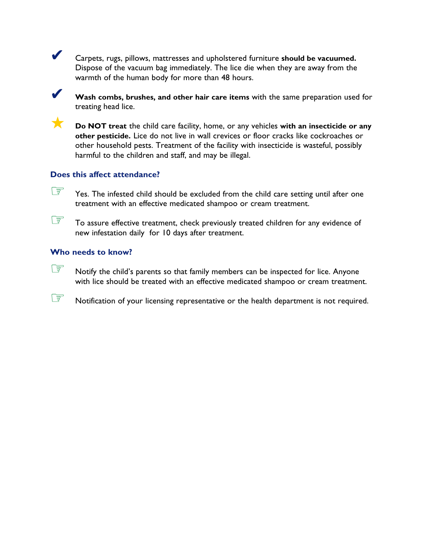✔ Carpets, rugs, pillows, mattresses and upholstered furniture **should be vacuumed.** Dispose of the vacuum bag immediately. The lice die when they are away from the warmth of the human body for more than 48 hours.

✔ **Wash combs, brushes, and other hair care items** with the same preparation used for treating head lice.

**Do NOT treat the child care facility, home, or any vehicles with an insecticide or any other pesticide.** Lice do not live in wall crevices or floor cracks like cockroaches or other household pests. Treatment of the facility with insecticide is wasteful, possibly harmful to the children and staff, and may be illegal.

### **Does this affect attendance?**

Yes. The infested child should be excluded from the child care setting until after one treatment with an effective medicated shampoo or cream treatment.

To assure effective treatment, check previously treated children for any evidence of new infestation daily for 10 days after treatment.

# **Who needs to know?**

 $\widehat{\mathbb{CP}}$  Notify the child's parents so that family members can be inspected for lice. Anyone with lice should be treated with an effective medicated shampoo or cream treatment.

Notification of your licensing representative or the health department is not required.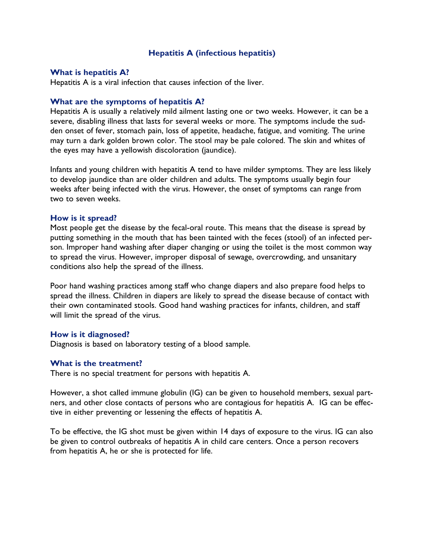#### **Hepatitis A (infectious hepatitis)**

#### **What is hepatitis A?**

Hepatitis A is a viral infection that causes infection of the liver.

#### **What are the symptoms of hepatitis A?**

Hepatitis A is usually a relatively mild ailment lasting one or two weeks. However, it can be a severe, disabling illness that lasts for several weeks or more. The symptoms include the sudden onset of fever, stomach pain, loss of appetite, headache, fatigue, and vomiting. The urine may turn a dark golden brown color. The stool may be pale colored. The skin and whites of the eyes may have a yellowish discoloration (jaundice).

Infants and young children with hepatitis A tend to have milder symptoms. They are less likely to develop jaundice than are older children and adults. The symptoms usually begin four weeks after being infected with the virus. However, the onset of symptoms can range from two to seven weeks.

#### **How is it spread?**

Most people get the disease by the fecal-oral route. This means that the disease is spread by putting something in the mouth that has been tainted with the feces (stool) of an infected person. Improper hand washing after diaper changing or using the toilet is the most common way to spread the virus. However, improper disposal of sewage, overcrowding, and unsanitary conditions also help the spread of the illness.

Poor hand washing practices among staff who change diapers and also prepare food helps to spread the illness. Children in diapers are likely to spread the disease because of contact with their own contaminated stools. Good hand washing practices for infants, children, and staff will limit the spread of the virus.

#### **How is it diagnosed?**

Diagnosis is based on laboratory testing of a blood sample.

#### **What is the treatment?**

There is no special treatment for persons with hepatitis A.

However, a shot called immune globulin (IG) can be given to household members, sexual partners, and other close contacts of persons who are contagious for hepatitis A. IG can be effective in either preventing or lessening the effects of hepatitis A.

To be effective, the IG shot must be given within 14 days of exposure to the virus. IG can also be given to control outbreaks of hepatitis A in child care centers. Once a person recovers from hepatitis A, he or she is protected for life.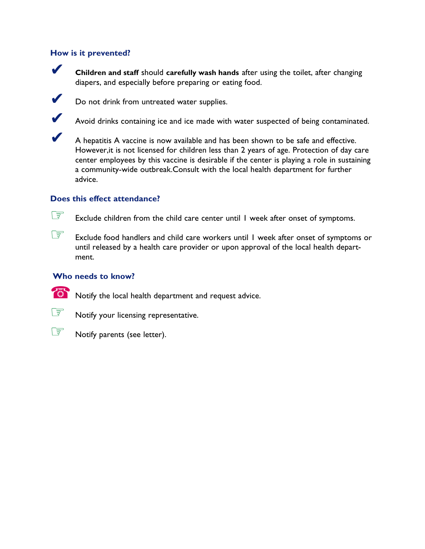# **How is it prevented?**

✔ **Children and staff** should **carefully wash hands** after using the toilet, after changing diapers, and especially before preparing or eating food.



**V** Do not drink from untreated water supplies.

✔ Avoid drinks containing ice and ice made with water suspected of being contaminated.

A hepatitis A vaccine is now available and has been shown to be safe and effective. However,it is not licensed for children less than 2 years of age. Protection of day care center employees by this vaccine is desirable if the center is playing a role in sustaining a community-wide outbreak.Consult with the local health department for further advice.

# **Does this effect attendance?**

 $\circled{F}$  Exclude children from the child care center until I week after onset of symptoms.

Exclude food handlers and child care workers until I week after onset of symptoms or until released by a health care provider or upon approval of the local health department.

### **Who needs to know?**

 $\bullet$  Notify the local health department and request advice.

**EF** Notify your licensing representative.



Salles Motify parents (see letter).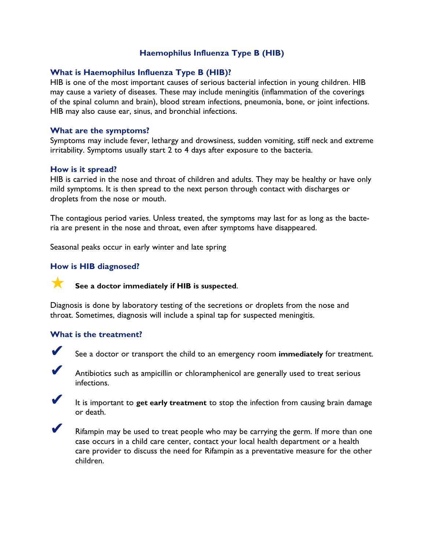# **Haemophilus Influenza Type B (HIB)**

### **What is Haemophilus Influenza Type B (HIB)?**

HIB is one of the most important causes of serious bacterial infection in young children. HIB may cause a variety of diseases. These may include meningitis (inflammation of the coverings of the spinal column and brain), blood stream infections, pneumonia, bone, or joint infections. HIB may also cause ear, sinus, and bronchial infections.

#### **What are the symptoms?**

Symptoms may include fever, lethargy and drowsiness, sudden vomiting, stiff neck and extreme irritability. Symptoms usually start 2 to 4 days after exposure to the bacteria.

#### **How is it spread?**

HIB is carried in the nose and throat of children and adults. They may be healthy or have only mild symptoms. It is then spread to the next person through contact with discharges or droplets from the nose or mouth.

The contagious period varies. Unless treated, the symptoms may last for as long as the bacteria are present in the nose and throat, even after symptoms have disappeared.

Seasonal peaks occur in early winter and late spring

### **How is HIB diagnosed?**



Diagnosis is done by laboratory testing of the secretions or droplets from the nose and throat. Sometimes, diagnosis will include a spinal tap for suspected meningitis.

#### **What is the treatment?**



See a doctor or transport the child to an emergency room *immediately* for treatment.



✔ Antibiotics such as ampicillin or chloramphenicol are generally used to treat serious infections.



✔ It is important to **get early treatment** to stop the infection from causing brain damage or death.



Rifampin may be used to treat people who may be carrying the germ. If more than one case occurs in a child care center, contact your local health department or a health care provider to discuss the need for Rifampin as a preventative measure for the other children.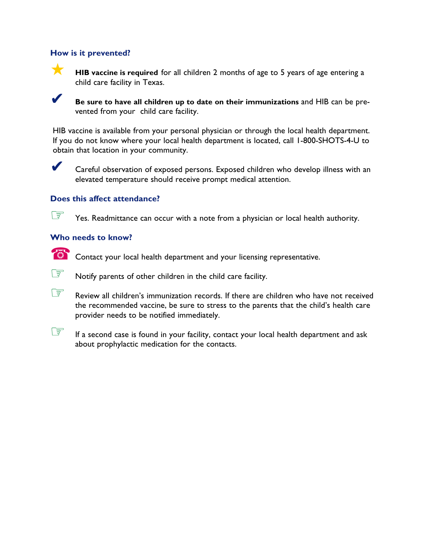### **How is it prevented?**



**HIB vaccine is required** for all children 2 months of age to 5 years of age entering a child care facility in Texas.



✔ **Be sure to have all children up to date on their immunizations** and HIB can be prevented from your child care facility.

HIB vaccine is available from your personal physician or through the local health department. If you do not know where your local health department is located, call 1-800-SHOTS-4-U to obtain that location in your community.



Careful observation of exposed persons. Exposed children who develop illness with an elevated temperature should receive prompt medical attention.

### **Does this affect attendance?**

 $\circledast$  Yes. Readmittance can occur with a note from a physician or local health authority.

#### **Who needs to know?**



**EXECO** Contact your local health department and your licensing representative.



Review all children's immunization records. If there are children who have not received the recommended vaccine, be sure to stress to the parents that the child's health care provider needs to be notified immediately.

If a second case is found in your facility, contact your local health department and ask about prophylactic medication for the contacts.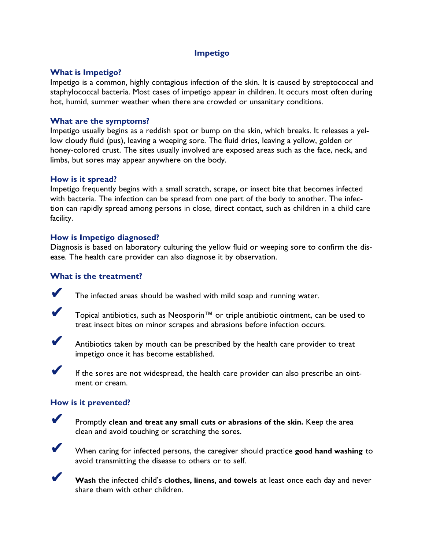# **Impetigo**

### **What is Impetigo?**

Impetigo is a common, highly contagious infection of the skin. It is caused by streptococcal and staphylococcal bacteria. Most cases of impetigo appear in children. It occurs most often during hot, humid, summer weather when there are crowded or unsanitary conditions.

# **What are the symptoms?**

Impetigo usually begins as a reddish spot or bump on the skin, which breaks. It releases a yellow cloudy fluid (pus), leaving a weeping sore. The fluid dries, leaving a yellow, golden or honey-colored crust. The sites usually involved are exposed areas such as the face, neck, and limbs, but sores may appear anywhere on the body.

# **How is it spread?**

Impetigo frequently begins with a small scratch, scrape, or insect bite that becomes infected with bacteria. The infection can be spread from one part of the body to another. The infection can rapidly spread among persons in close, direct contact, such as children in a child care facility.

# **How is Impetigo diagnosed?**

Diagnosis is based on laboratory culturing the yellow fluid or weeping sore to confirm the disease. The health care provider can also diagnose it by observation.

# **What is the treatment?**

The infected areas should be washed with mild soap and running water.

✔ Topical antibiotics, such as Neosporin™ or triple antibiotic ointment, can be used to treat insect bites on minor scrapes and abrasions before infection occurs.



Antibiotics taken by mouth can be prescribed by the health care provider to treat impetigo once it has become established.



If the sores are not widespread, the health care provider can also prescribe an ointment or cream.

### **How is it prevented?**



✔ Promptly **clean and treat any small cuts or abrasions of the skin.** Keep the area clean and avoid touching or scratching the sores.



✔ When caring for infected persons, the caregiver should practice **good hand washing** to avoid transmitting the disease to others or to self.



Wash the infected child's clothes, linens, and towels at least once each day and never share them with other children.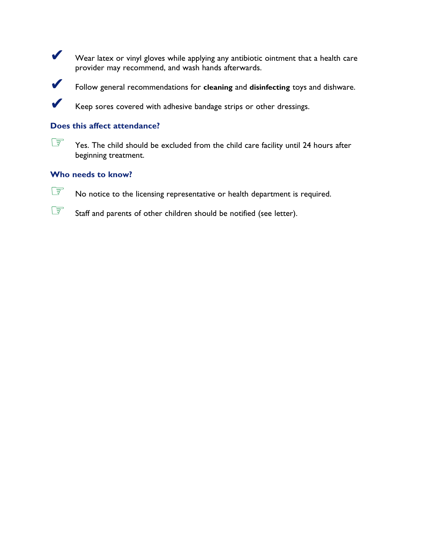Wear latex or vinyl gloves while applying any antibiotic ointment that a health care provider may recommend, and wash hands afterwards.



✔ Follow general recommendations for **cleaning** and **disinfecting** toys and dishware.

Keep sores covered with adhesive bandage strips or other dressings.

# **Does this affect attendance?**



Yes. The child should be excluded from the child care facility until 24 hours after beginning treatment.

### **Who needs to know?**



Staff and parents of other children should be notified (see letter).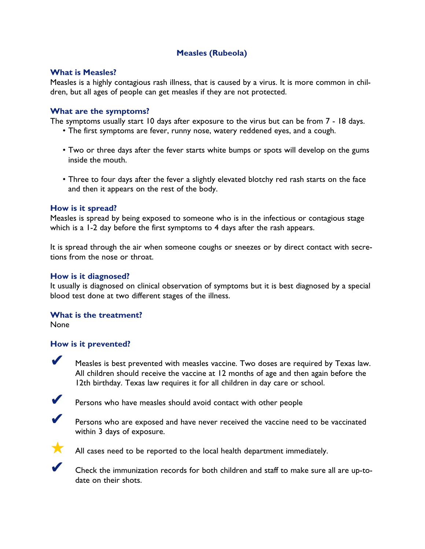# **Measles (Rubeola)**

### **What is Measles?**

Measles is a highly contagious rash illness, that is caused by a virus. It is more common in children, but all ages of people can get measles if they are not protected.

# **What are the symptoms?**

The symptoms usually start 10 days after exposure to the virus but can be from 7 - 18 days.

- The first symptoms are fever, runny nose, watery reddened eyes, and a cough.
- Two or three days after the fever starts white bumps or spots will develop on the gums inside the mouth.
- Three to four days after the fever a slightly elevated blotchy red rash starts on the face and then it appears on the rest of the body.

# **How is it spread?**

Measles is spread by being exposed to someone who is in the infectious or contagious stage which is a 1-2 day before the first symptoms to 4 days after the rash appears.

It is spread through the air when someone coughs or sneezes or by direct contact with secretions from the nose or throat.

### **How is it diagnosed?**

It usually is diagnosed on clinical observation of symptoms but it is best diagnosed by a special blood test done at two different stages of the illness.

### **What is the treatment?**

None

### **How is it prevented?**

✔ Measles is best prevented with measles vaccine. Two doses are required by Texas law. All children should receive the vaccine at 12 months of age and then again before the 12th birthday. Texas law requires it for all children in day care or school.



Persons who have measles should avoid contact with other people



Persons who are exposed and have never received the vaccine need to be vaccinated within 3 days of exposure.



All cases need to be reported to the local health department immediately.



✔ Check the immunization records for both children and staff to make sure all are up-todate on their shots.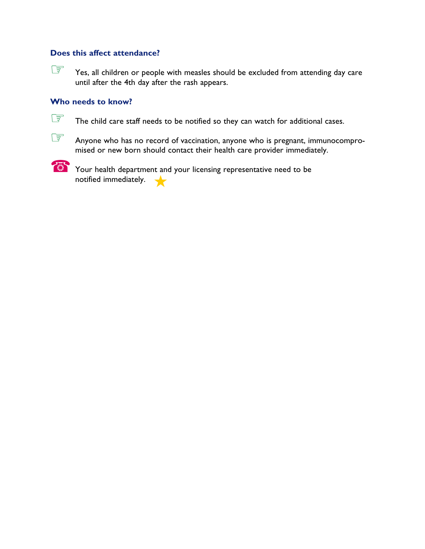Yes, all children or people with measles should be excluded from attending day care until after the 4th day after the rash appears.

#### **Who needs to know?**



The child care staff needs to be notified so they can watch for additional cases.

Anyone who has no record of vaccination, anyone who is pregnant, immunocompromised or new born should contact their health care provider immediately.



**EXECUTE Your health department and your licensing representative need to be** notified immediately. ★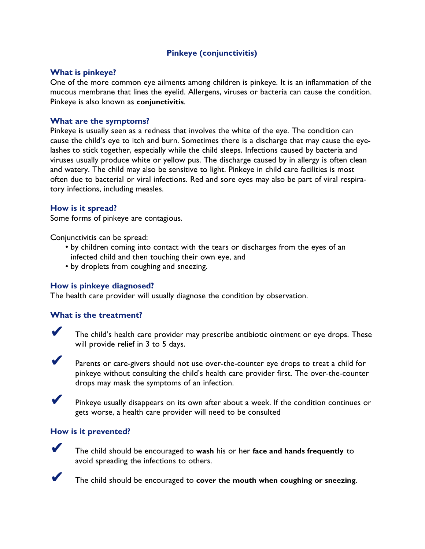# **Pinkeye (conjunctivitis)**

#### **What is pinkeye?**

One of the more common eye ailments among children is pinkeye. It is an inflammation of the mucous membrane that lines the eyelid. Allergens, viruses or bacteria can cause the condition. Pinkeye is also known as **conjunctivitis**.

#### **What are the symptoms?**

Pinkeye is usually seen as a redness that involves the white of the eye. The condition can cause the child's eye to itch and burn. Sometimes there is a discharge that may cause the eyelashes to stick together, especially while the child sleeps. Infections caused by bacteria and viruses usually produce white or yellow pus. The discharge caused by in allergy is often clean and watery. The child may also be sensitive to light. Pinkeye in child care facilities is most often due to bacterial or viral infections. Red and sore eyes may also be part of viral respiratory infections, including measles.

#### **How is it spread?**

Some forms of pinkeye are contagious.

Conjunctivitis can be spread:

- by children coming into contact with the tears or discharges from the eyes of an infected child and then touching their own eye, and
- by droplets from coughing and sneezing.

#### **How is pinkeye diagnosed?**

The health care provider will usually diagnose the condition by observation.

#### **What is the treatment?**



The child's health care provider may prescribe antibiotic ointment or eye drops. These will provide relief in 3 to 5 days.



Parents or care-givers should not use over-the-counter eye drops to treat a child for pinkeye without consulting the child's health care provider first. The over-the-counter drops may mask the symptoms of an infection.



✔ Pinkeye usually disappears on its own after about a week. If the condition continues or gets worse, a health care provider will need to be consulted

#### **How is it prevented?**



✔ The child should be encouraged to **wash** his or her **face and hands frequently** to avoid spreading the infections to others.



✔ The child should be encouraged to **cover the mouth when coughing or sneezing**.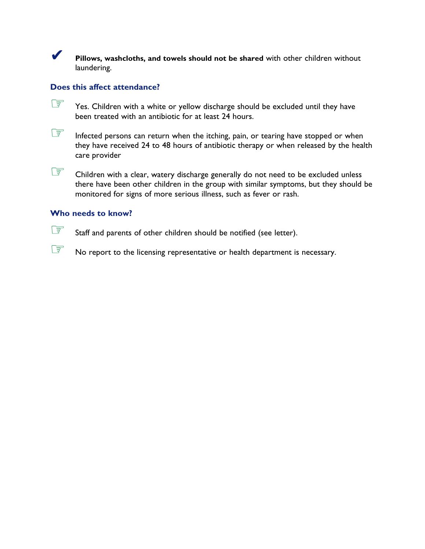✔ **Pillows, washcloths, and towels should not be shared** with other children without laundering.

# **Does this affect attendance?**

- Yes. Children with a white or yellow discharge should be excluded until they have been treated with an antibiotic for at least 24 hours.
- Infected persons can return when the itching, pain, or tearing have stopped or when they have received 24 to 48 hours of antibiotic therapy or when released by the health care provider
- Children with a clear, watery discharge generally do not need to be excluded unless there have been other children in the group with similar symptoms, but they should be monitored for signs of more serious illness, such as fever or rash.

# **Who needs to know?**

Staff and parents of other children should be notified (see letter).

No report to the licensing representative or health department is necessary.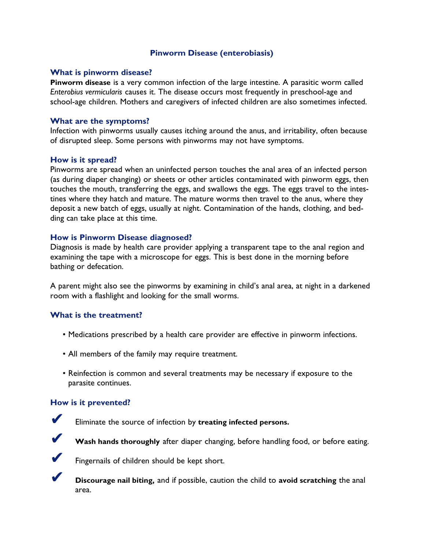### **Pinworm Disease (enterobiasis)**

#### **What is pinworm disease?**

**Pinworm disease** is a very common infection of the large intestine. A parasitic worm called *Enterobius vermicularis* causes it. The disease occurs most frequently in preschool-age and school-age children. Mothers and caregivers of infected children are also sometimes infected.

#### **What are the symptoms?**

Infection with pinworms usually causes itching around the anus, and irritability, often because of disrupted sleep. Some persons with pinworms may not have symptoms.

#### **How is it spread?**

Pinworms are spread when an uninfected person touches the anal area of an infected person (as during diaper changing) or sheets or other articles contaminated with pinworm eggs, then touches the mouth, transferring the eggs, and swallows the eggs. The eggs travel to the intestines where they hatch and mature. The mature worms then travel to the anus, where they deposit a new batch of eggs, usually at night. Contamination of the hands, clothing, and bedding can take place at this time.

### **How is Pinworm Disease diagnosed?**

Diagnosis is made by health care provider applying a transparent tape to the anal region and examining the tape with a microscope for eggs. This is best done in the morning before bathing or defecation.

A parent might also see the pinworms by examining in child's anal area, at night in a darkened room with a flashlight and looking for the small worms.

### **What is the treatment?**

- Medications prescribed by a health care provider are effective in pinworm infections.
- All members of the family may require treatment.
- Reinfection is common and several treatments may be necessary if exposure to the parasite continues.

#### **How is it prevented?**



Eliminate the source of infection by treating infected persons.



Wash hands thoroughly after diaper changing, before handling food, or before eating.



Fingernails of children should be kept short.

✔ **Discourage nail biting,** and if possible, caution the child to **avoid scratching** the anal area.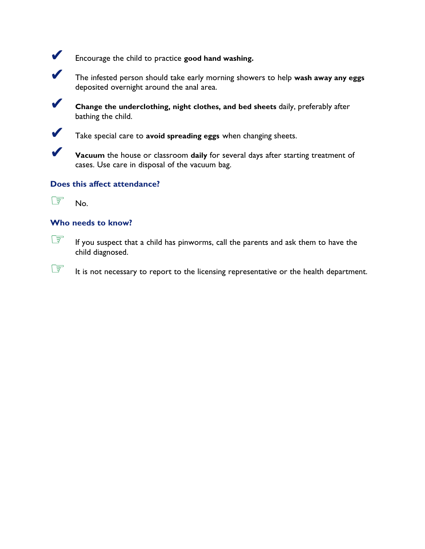

✔ Encourage the child to practice **good hand washing.**



✔ The infested person should take early morning showers to help **wash away any eggs** deposited overnight around the anal area.



✔ **Change the underclothing, night clothes, and bed sheets** daily, preferably after bathing the child.



✔ Take special care to **avoid spreading eggs** when changing sheets.

✔ **Vacuum** the house or classroom **daily** for several days after starting treatment of cases. Use care in disposal of the vacuum bag.

# **Does this affect attendance?**



# **Who needs to know?**

**EXECUTE:** If you suspect that a child has pinworms, call the parents and ask them to have the child diagnosed.

**EXECUTE:** It is not necessary to report to the licensing representative or the health department.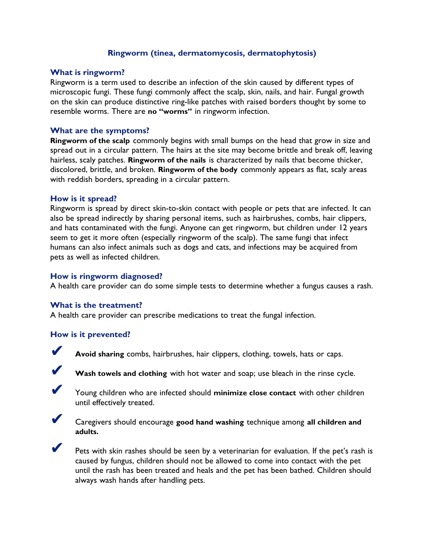# **Ringworm (tinea, dermatomycosis, dermatophytosis)**

#### **What is ringworm?**

Ringworm is a term used to describe an infection of the skin caused by different types of microscopic fungi. These fungi commonly affect the scalp, skin, nails, and hair. Fungal growth on the skin can produce distinctive ring-like patches with raised borders thought by some to resemble worms. There are **no "worms"** in ringworm infection.

#### **What are the symptoms?**

**Ringworm of the scalp** commonly begins with small bumps on the head that grow in size and spread out in a circular pattern. The hairs at the site may become brittle and break off, leaving hairless, scaly patches. **Ringworm of the nails** is characterized by nails that become thicker, discolored, brittle, and broken. **Ringworm of the body** commonly appears as flat, scaly areas with reddish borders, spreading in a circular pattern.

#### **How is it spread?**

Ringworm is spread by direct skin-to-skin contact with people or pets that are infected. It can also be spread indirectly by sharing personal items, such as hairbrushes, combs, hair clippers, and hats contaminated with the fungi. Anyone can get ringworm, but children under 12 years seem to get it more often (especially ringworm of the scalp). The same fungi that infect humans can also infect animals such as dogs and cats, and infections may be acquired from pets as well as infected children.

#### **How is ringworm diagnosed?**

A health care provider can do some simple tests to determine whether a fungus causes a rash.

#### **What is the treatment?**

A health care provider can prescribe medications to treat the fungal infection.

#### **How is it prevented?**



Avoid sharing combs, hairbrushes, hair clippers, clothing, towels, hats or caps.



Wash towels and clothing with hot water and soap; use bleach in the rinse cycle.



✔ Young children who are infected should **minimize close contact** with other children until effectively treated.



✔ Caregivers should encourage **good hand washing** technique among **all children and adults.**



Pets with skin rashes should be seen by a veterinarian for evaluation. If the pet's rash is caused by fungus, children should not be allowed to come into contact with the pet until the rash has been treated and heals and the pet has been bathed. Children should always wash hands after handling pets.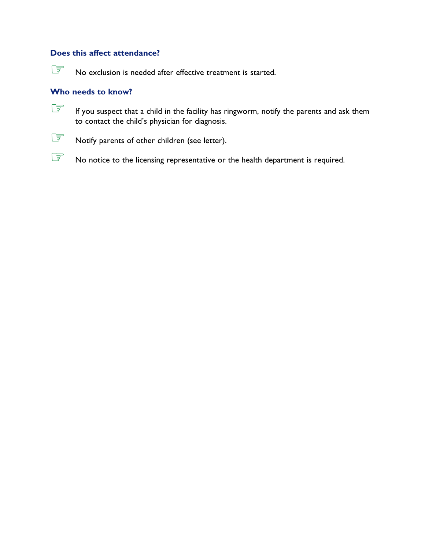No exclusion is needed after effective treatment is started.

## **Who needs to know?**

**EF** If you suspect that a child in the facility has ringworm, notify the parents and ask them to contact the child's physician for diagnosis.



Notify parents of other children (see letter).

No notice to the licensing representative or the health department is required.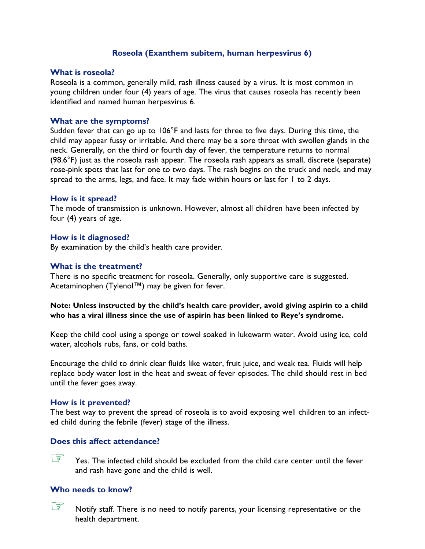### **Roseola (Exanthem subitem, human herpesvirus 6)**

#### **What is roseola?**

Roseola is a common, generally mild, rash illness caused by a virus. It is most common in young children under four (4) years of age. The virus that causes roseola has recently been identified and named human herpesvirus 6.

#### **What are the symptoms?**

Sudden fever that can go up to 106°F and lasts for three to five days. During this time, the child may appear fussy or irritable. And there may be a sore throat with swollen glands in the neck. Generally, on the third or fourth day of fever, the temperature returns to normal (98.6°F) just as the roseola rash appear. The roseola rash appears as small, discrete (separate) rose-pink spots that last for one to two days. The rash begins on the truck and neck, and may spread to the arms, legs, and face. It may fade within hours or last for 1 to 2 days.

#### **How is it spread?**

The mode of transmission is unknown. However, almost all children have been infected by four (4) years of age.

#### **How is it diagnosed?**

By examination by the child's health care provider.

#### **What is the treatment?**

There is no specific treatment for roseola. Generally, only supportive care is suggested. Acetaminophen (Tylenol™) may be given for fever.

#### **Note: Unless instructed by the child's health care provider, avoid giving aspirin to a child who has a viral illness since the use of aspirin has been linked to Reye's syndrome.**

Keep the child cool using a sponge or towel soaked in lukewarm water. Avoid using ice, cold water, alcohols rubs, fans, or cold baths.

Encourage the child to drink clear fluids like water, fruit juice, and weak tea. Fluids will help replace body water lost in the heat and sweat of fever episodes. The child should rest in bed until the fever goes away.

#### **How is it prevented?**

The best way to prevent the spread of roseola is to avoid exposing well children to an infected child during the febrile (fever) stage of the illness.

#### **Does this affect attendance?**

 $\circ$  Yes. The infected child should be excluded from the child care center until the fever and rash have gone and the child is well.

#### **Who needs to know?**

 $\widehat{\mathbb{CP}}$  Notify staff. There is no need to notify parents, your licensing representative or the health department.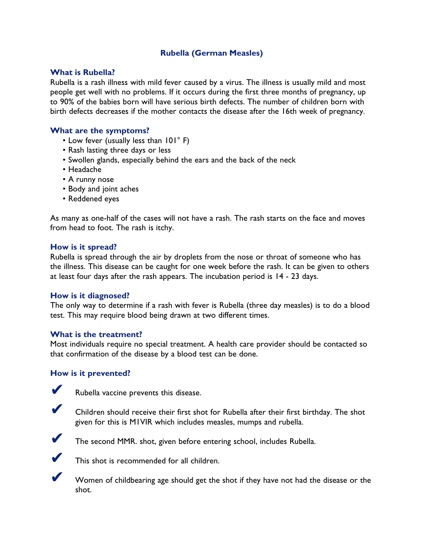# **Rubella (German Measles)**

### **What is Rubella?**

Rubella is a rash illness with mild fever caused by a virus. The illness is usually mild and most people get well with no problems. If it occurs during the first three months of pregnancy, up to 90% of the babies born will have serious birth defects. The number of children born with birth defects decreases if the mother contacts the disease after the 16th week of pregnancy.

# **What are the symptoms?**

- Low fever (usually less than 101° F)
- Rash lasting three days or less
- Swollen glands, especially behind the ears and the back of the neck
- Headache
- A runny nose
- Body and joint aches
- Reddened eyes

As many as one-half of the cases will not have a rash. The rash starts on the face and moves from head to foot. The rash is itchy.

#### **How is it spread?**

Rubella is spread through the air by droplets from the nose or throat of someone who has the illness. This disease can be caught for one week before the rash. It can be given to others at least four days after the rash appears. The incubation period is 14 - 23 days.

### **How is it diagnosed?**

The only way to determine if a rash with fever is Rubella (three day measles) is to do a blood test. This may require blood being drawn at two different times.

#### **What is the treatment?**

Most individuals require no special treatment. A health care provider should be contacted so that confirmation of the disease by a blood test can be done.

### **How is it prevented?**



Rubella vaccine prevents this disease.

Children should receive their first shot for Rubella after their first birthday. The shot given for this is M1VIR which includes measles, mumps and rubella.



The second MMR. shot, given before entering school, includes Rubella.



This shot is recommended for all children.

Women of childbearing age should get the shot if they have not had the disease or the shot.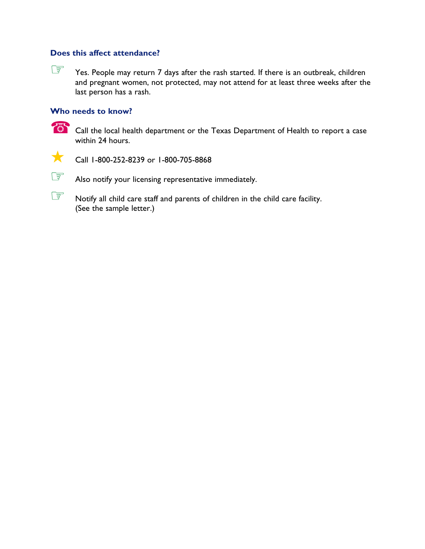Yes. People may return 7 days after the rash started. If there is an outbreak, children and pregnant women, not protected, may not attend for at least three weeks after the last person has a rash.

## **Who needs to know?**

**EXECALL THE CALL THE INCICERT** Call the local health department or the Texas Department of Health to report a case within 24 hours.



**Call 1-800-252-8239 or 1-800-705-8868** 

Also notify your licensing representative immediately.

Notify all child care staff and parents of children in the child care facility. (See the sample letter.)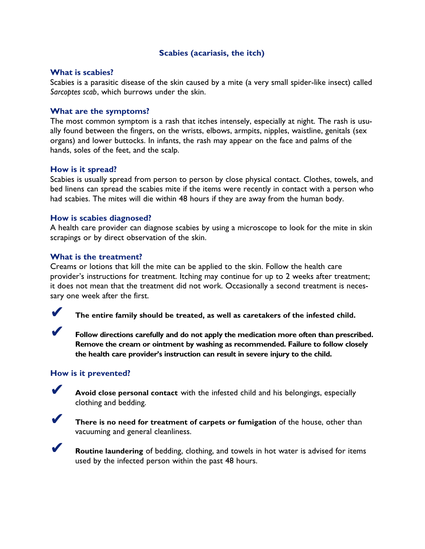# **Scabies (acariasis, the itch)**

#### **What is scabies?**

Scabies is a parasitic disease of the skin caused by a mite (a very small spider-like insect) called *Sarcoptes scab*, which burrows under the skin.

### **What are the symptoms?**

The most common symptom is a rash that itches intensely, especially at night. The rash is usually found between the fingers, on the wrists, elbows, armpits, nipples, waistline, genitals (sex organs) and lower buttocks. In infants, the rash may appear on the face and palms of the hands, soles of the feet, and the scalp.

#### **How is it spread?**

Scabies is usually spread from person to person by close physical contact. Clothes, towels, and bed linens can spread the scabies mite if the items were recently in contact with a person who had scabies. The mites will die within 48 hours if they are away from the human body.

#### **How is scabies diagnosed?**

A health care provider can diagnose scabies by using a microscope to look for the mite in skin scrapings or by direct observation of the skin.

#### **What is the treatment?**

Creams or lotions that kill the mite can be applied to the skin. Follow the health care provider's instructions for treatment. Itching may continue for up to 2 weeks after treatment; it does not mean that the treatment did not work. Occasionally a second treatment is necessary one week after the first.



✔ **The entire family should be treated, as well as caretakers of the infested child.**

✔ **Follow directions carefully and do not apply the medication more often than prescribed. Remove the cream or ointment by washing as recommended. Failure to follow closely the health care provider's instruction can result in severe injury to the child.**

#### **How is it prevented?**

✔ **Avoid close personal contact** with the infested child and his belongings, especially clothing and bedding.



✔ **There is no need for treatment of carpets or fumigation** of the house, other than vacuuming and general cleanliness.



**Routine laundering** of bedding, clothing, and towels in hot water is advised for items used by the infected person within the past 48 hours.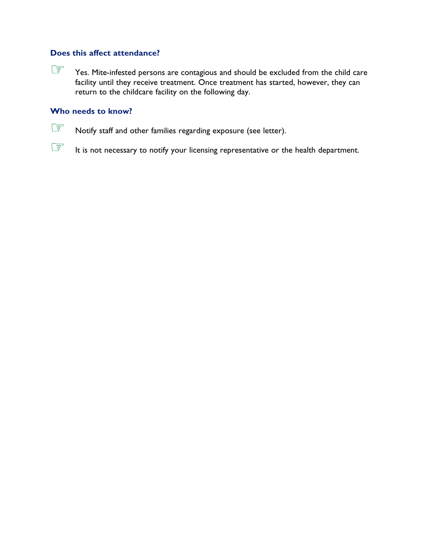Yes. Mite-infested persons are contagious and should be excluded from the child care facility until they receive treatment. Once treatment has started, however, they can return to the childcare facility on the following day.

# **Who needs to know?**

Notify staff and other families regarding exposure (see letter).

It is not necessary to notify your licensing representative or the health department.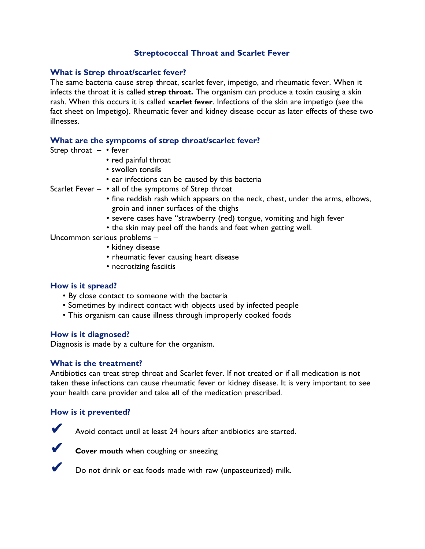# **Streptococcal Throat and Scarlet Fever**

#### **What is Strep throat/scarlet fever?**

The same bacteria cause strep throat, scarlet fever, impetigo, and rheumatic fever. When it infects the throat it is called **strep throat.** The organism can produce a toxin causing a skin rash. When this occurs it is called **scarlet fever**. Infections of the skin are impetigo (see the fact sheet on Impetigo). Rheumatic fever and kidney disease occur as later effects of these two illnesses.

#### **What are the symptoms of strep throat/scarlet fever?**

- Strep throat  $-$  fever
	- red painful throat
	- swollen tonsils
	- ear infections can be caused by this bacteria

Scarlet Fever  $\cdot$  all of the symptoms of Strep throat

- fine reddish rash which appears on the neck, chest, under the arms, elbows, groin and inner surfaces of the thighs
- severe cases have "strawberry (red) tongue, vomiting and high fever
- the skin may peel off the hands and feet when getting well.

Uncommon serious problems –

- kidney disease
- rheumatic fever causing heart disease
- necrotizing fasciitis

#### **How is it spread?**

- By close contact to someone with the bacteria
- Sometimes by indirect contact with objects used by infected people
- This organism can cause illness through improperly cooked foods

#### **How is it diagnosed?**

Diagnosis is made by a culture for the organism.

### **What is the treatment?**

Antibiotics can treat strep throat and Scarlet fever. If not treated or if all medication is not taken these infections can cause rheumatic fever or kidney disease. It is very important to see your health care provider and take **all** of the medication prescribed.

### **How is it prevented?**



✔ Avoid contact until at least 24 hours after antibiotics are started.



**Cover mouth** when coughing or sneezing

Do not drink or eat foods made with raw (unpasteurized) milk.